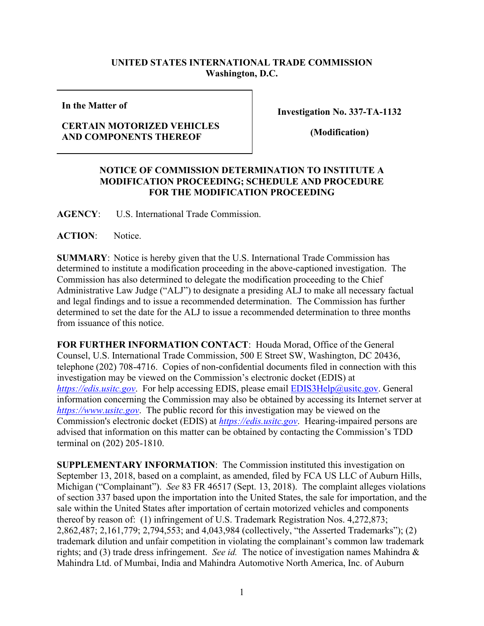## **UNITED STATES INTERNATIONAL TRADE COMMISSION Washington, D.C.**

**In the Matter of**

## **CERTAIN MOTORIZED VEHICLES AND COMPONENTS THEREOF**

**Investigation No. 337-TA-1132**

**(Modification)**

## **NOTICE OF COMMISSION DETERMINATION TO INSTITUTE A MODIFICATION PROCEEDING; SCHEDULE AND PROCEDURE FOR THE MODIFICATION PROCEEDING**

**AGENCY**: U.S. International Trade Commission.

**ACTION**: Notice.

**SUMMARY**: Notice is hereby given that the U.S. International Trade Commission has determined to institute a modification proceeding in the above-captioned investigation. The Commission has also determined to delegate the modification proceeding to the Chief Administrative Law Judge ("ALJ") to designate a presiding ALJ to make all necessary factual and legal findings and to issue a recommended determination. The Commission has further determined to set the date for the ALJ to issue a recommended determination to three months from issuance of this notice.

**FOR FURTHER INFORMATION CONTACT**: Houda Morad, Office of the General Counsel, U.S. International Trade Commission, 500 E Street SW, Washington, DC 20436, telephone (202) 708-4716. Copies of non-confidential documents filed in connection with this investigation may be viewed on the Commission's electronic docket (EDIS) at *[https://edis.usitc.gov](https://edis.usitc.gov/).* For help accessing EDIS, please email [EDIS3Help@usitc.gov.](mailto:EDIS3Help@usitc.gov) General information concerning the Commission may also be obtained by accessing its Internet server at *[https://www.usitc.gov](https://www.usitc.gov/)*. The public record for this investigation may be viewed on the Commission's electronic docket (EDIS) at *[https://edis.usitc.gov](https://edis.usitc.gov/)*. Hearing-impaired persons are advised that information on this matter can be obtained by contacting the Commission's TDD terminal on (202) 205-1810.

**SUPPLEMENTARY INFORMATION**: The Commission instituted this investigation on September 13, 2018, based on a complaint, as amended, filed by FCA US LLC of Auburn Hills, Michigan ("Complainant"). *See* 83 FR 46517 (Sept. 13, 2018). The complaint alleges violations of section 337 based upon the importation into the United States, the sale for importation, and the sale within the United States after importation of certain motorized vehicles and components thereof by reason of: (1) infringement of U.S. Trademark Registration Nos. 4,272,873; 2,862,487; 2,161,779; 2,794,553; and 4,043,984 (collectively, "the Asserted Trademarks"); (2) trademark dilution and unfair competition in violating the complainant's common law trademark rights; and (3) trade dress infringement. *See id.* The notice of investigation names Mahindra & Mahindra Ltd. of Mumbai, India and Mahindra Automotive North America, Inc. of Auburn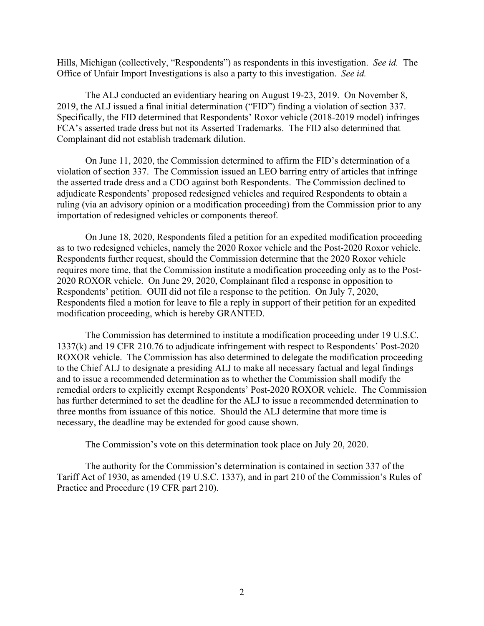Hills, Michigan (collectively, "Respondents") as respondents in this investigation. *See id.* The Office of Unfair Import Investigations is also a party to this investigation. *See id.* 

The ALJ conducted an evidentiary hearing on August 19-23, 2019. On November 8, 2019, the ALJ issued a final initial determination ("FID") finding a violation of section 337. Specifically, the FID determined that Respondents' Roxor vehicle (2018-2019 model) infringes FCA's asserted trade dress but not its Asserted Trademarks. The FID also determined that Complainant did not establish trademark dilution.

On June 11, 2020, the Commission determined to affirm the FID's determination of a violation of section 337. The Commission issued an LEO barring entry of articles that infringe the asserted trade dress and a CDO against both Respondents. The Commission declined to adjudicate Respondents' proposed redesigned vehicles and required Respondents to obtain a ruling (via an advisory opinion or a modification proceeding) from the Commission prior to any importation of redesigned vehicles or components thereof.

On June 18, 2020, Respondents filed a petition for an expedited modification proceeding as to two redesigned vehicles, namely the 2020 Roxor vehicle and the Post-2020 Roxor vehicle. Respondents further request, should the Commission determine that the 2020 Roxor vehicle requires more time, that the Commission institute a modification proceeding only as to the Post-2020 ROXOR vehicle. On June 29, 2020, Complainant filed a response in opposition to Respondents' petition. OUII did not file a response to the petition. On July 7, 2020, Respondents filed a motion for leave to file a reply in support of their petition for an expedited modification proceeding, which is hereby GRANTED.

The Commission has determined to institute a modification proceeding under 19 U.S.C. 1337(k) and 19 CFR 210.76 to adjudicate infringement with respect to Respondents' Post-2020 ROXOR vehicle. The Commission has also determined to delegate the modification proceeding to the Chief ALJ to designate a presiding ALJ to make all necessary factual and legal findings and to issue a recommended determination as to whether the Commission shall modify the remedial orders to explicitly exempt Respondents' Post-2020 ROXOR vehicle. The Commission has further determined to set the deadline for the ALJ to issue a recommended determination to three months from issuance of this notice. Should the ALJ determine that more time is necessary, the deadline may be extended for good cause shown.

The Commission's vote on this determination took place on July 20, 2020.

The authority for the Commission's determination is contained in section 337 of the Tariff Act of 1930, as amended (19 U.S.C. 1337), and in part 210 of the Commission's Rules of Practice and Procedure (19 CFR part 210).